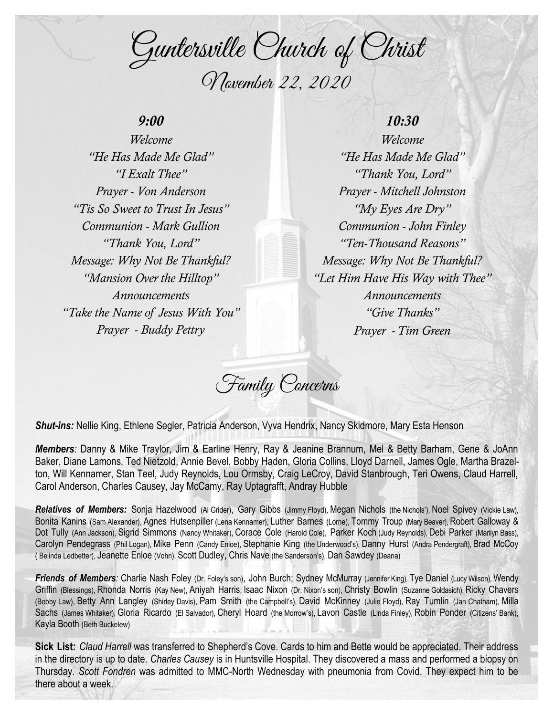Guntersville Church of Christ November 22, 2020

## *9:00*

*Welcome "He Has Made Me Glad" "I Exalt Thee" Prayer - Von Anderson "Tis So Sweet to Trust In Jesus" Communion - Mark Gullion "Thank You, Lord" Message: Why Not Be Thankful? "Mansion Over the Hilltop" Announcements "Take the Name of Jesus With You" Prayer - Buddy Pettry*

## *10:30*

*Welcome "He Has Made Me Glad" "Thank You, Lord" Prayer - Mitchell Johnston "My Eyes Are Dry" Communion - John Finley "Ten-Thousand Reasons" Message: Why Not Be Thankful? "Let Him Have His Way with Thee" Announcements "Give Thanks" Prayer - Tim Green*

Family Concerns

*Shut-ins:* Nellie King, Ethlene Segler, Patricia Anderson, Vyva Hendrix, Nancy Skidmore, Mary Esta Henson

*Members:* Danny & Mike Traylor, Jim & Earline Henry, Ray & Jeanine Brannum, Mel & Betty Barham, Gene & JoAnn Baker, Diane Lamons, Ted Nietzold, Annie Bevel, Bobby Haden, Gloria Collins, Lloyd Darnell, James Ogle, Martha Brazelton, Will Kennamer, Stan Teel, Judy Reynolds, Lou Ormsby, Craig LeCroy, David Stanbrough, Teri Owens, Claud Harrell, Carol Anderson, Charles Causey, Jay McCamy, Ray Uptagrafft, Andray Hubble

*Relatives of Members:* Sonja Hazelwood (Al Grider), Gary Gibbs (Jimmy Floyd), Megan Nichols (the Nichols'), Noel Spivey (Vickie Law), Bonita Kanins (Sam Alexander), Agnes Hutsenpiller (Lena Kennamer), Luther Barnes (Lorne), Tommy Troup (Mary Beaver), Robert Galloway & Dot Tully (Ann Jackson), Sigrid Simmons (Nancy Whitaker), Corace Cole (Harold Cole), Parker Koch (Judy Reynolds), Debi Parker (Marilyn Bass), Carolyn Pendegrass (Phil Logan), Mike Penn (Candy Enloe), Stephanie King (the Underwood's), Danny Hurst (Andra Pendergraft), Brad McCoy ( Belinda Ledbetter), Jeanette Enloe (Vohn), Scott Dudley, Chris Nave (the Sanderson's), Dan Sawdey (Deana)

**Friends of Members**: Charlie Nash Foley (Dr. Foley's son), John Burch; Sydney McMurray (Jennifer King), Tye Daniel (Lucy Wilson), Wendy Griffin (Blessings), Rhonda Norris (Kay New), Aniyah Harris; Isaac Nixon (Dr. Nixon's son), Christy Bowlin (Suzanne Goldasich), Ricky Chavers (Bobby Law), Betty Ann Langley (Shirley Davis), Pam Smith (the Campbell's), David McKinney (Julie Floyd), Ray Tumlin (Jan Chatham), Milla Sachs (James Whitaker), Gloria Ricardo (El Salvador), Cheryl Hoard (the Morrow's), Lavon Castle (Linda Finley), Robin Ponder (Citizens' Bank), Kayla Booth (Beth Buckelew)

**Sick List:** *Claud Harrell* was transferred to Shepherd's Cove. Cards to him and Bette would be appreciated. Their address in the directory is up to date. *Charles Causey* is in Huntsville Hospital. They discovered a mass and performed a biopsy on Thursday. *Scott Fondren* was admitted to MMC-North Wednesday with pneumonia from Covid. They expect him to be there about a week.